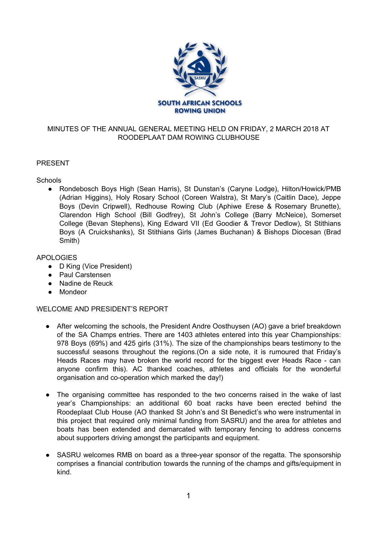

# MINUTES OF THE ANNUAL GENERAL MEETING HELD ON FRIDAY, 2 MARCH 2018 AT ROODEPLAAT DAM ROWING CLUBHOUSE

## PRESENT

#### **Schools**

● Rondebosch Boys High (Sean Harris), St Dunstan's (Caryne Lodge), Hilton/Howick/PMB (Adrian Higgins), Holy Rosary School (Coreen Walstra), St Mary's (Caitlin Dace), Jeppe Boys (Devin Cripwell), Redhouse Rowing Club (Aphiwe Erese & Rosemary Brunette), Clarendon High School (Bill Godfrey), St John's College (Barry McNeice), Somerset College (Bevan Stephens), King Edward VII (Ed Goodier & Trevor Dedlow), St Stithians Boys (A Cruickshanks), St Stithians Girls (James Buchanan) & Bishops Diocesan (Brad Smith)

#### APOLOGIES

- D King (Vice President)
- Paul Carstensen
- Nadine de Reuck
- Mondeor

# WELCOME AND PRESIDENT'S REPORT

- After welcoming the schools, the President Andre Oosthuysen (AO) gave a brief breakdown of the SA Champs entries. There are 1403 athletes entered into this year Championships: 978 Boys (69%) and 425 girls (31%). The size of the championships bears testimony to the successful seasons throughout the regions.(On a side note, it is rumoured that Friday's Heads Races may have broken the world record for the biggest ever Heads Race - can anyone confirm this). AC thanked coaches, athletes and officials for the wonderful organisation and co-operation which marked the day!)
- The organising committee has responded to the two concerns raised in the wake of last year's Championships: an additional 60 boat racks have been erected behind the Roodeplaat Club House (AO thanked St John's and St Benedict's who were instrumental in this project that required only minimal funding from SASRU) and the area for athletes and boats has been extended and demarcated with temporary fencing to address concerns about supporters driving amongst the participants and equipment.
- SASRU welcomes RMB on board as a three-year sponsor of the regatta. The sponsorship comprises a financial contribution towards the running of the champs and gifts/equipment in kind.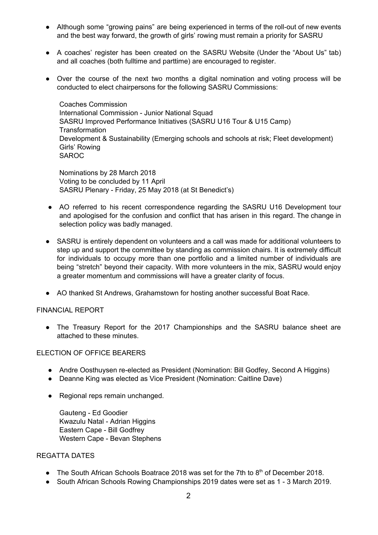- Although some "growing pains" are being experienced in terms of the roll-out of new events and the best way forward, the growth of girls' rowing must remain a priority for SASRU
- A coaches' register has been created on the SASRU Website (Under the "About Us" tab) and all coaches (both fulltime and parttime) are encouraged to register.
- Over the course of the next two months a digital nomination and voting process will be conducted to elect chairpersons for the following SASRU Commissions:

Coaches Commission International Commission - Junior National Squad SASRU Improved Performance Initiatives (SASRU U16 Tour & U15 Camp) **Transformation** Development & Sustainability (Emerging schools and schools at risk; Fleet development) Girls' Rowing **SAROC** 

Nominations by 28 March 2018 Voting to be concluded by 11 April SASRU Plenary - Friday, 25 May 2018 (at St Benedict's)

- AO referred to his recent correspondence regarding the SASRU U16 Development tour and apologised for the confusion and conflict that has arisen in this regard. The change in selection policy was badly managed.
- SASRU is entirely dependent on volunteers and a call was made for additional volunteers to step up and support the committee by standing as commission chairs. It is extremely difficult for individuals to occupy more than one portfolio and a limited number of individuals are being "stretch" beyond their capacity. With more volunteers in the mix, SASRU would enjoy a greater momentum and commissions will have a greater clarity of focus.
- AO thanked St Andrews, Grahamstown for hosting another successful Boat Race.

#### FINANCIAL REPORT

● The Treasury Report for the 2017 Championships and the SASRU balance sheet are attached to these minutes.

#### ELECTION OF OFFICE BEARERS

- Andre Oosthuysen re-elected as President (Nomination: Bill Godfey, Second A Higgins)
- Deanne King was elected as Vice President (Nomination: Caitline Dave)
- Regional reps remain unchanged.

Gauteng - Ed Goodier Kwazulu Natal - Adrian Higgins Eastern Cape - Bill Godfrey Western Cape - Bevan Stephens

## REGATTA DATES

- The South African Schools Boatrace 2018 was set for the 7th to 8<sup>th</sup> of December 2018.
- South African Schools Rowing Championships 2019 dates were set as 1 3 March 2019.